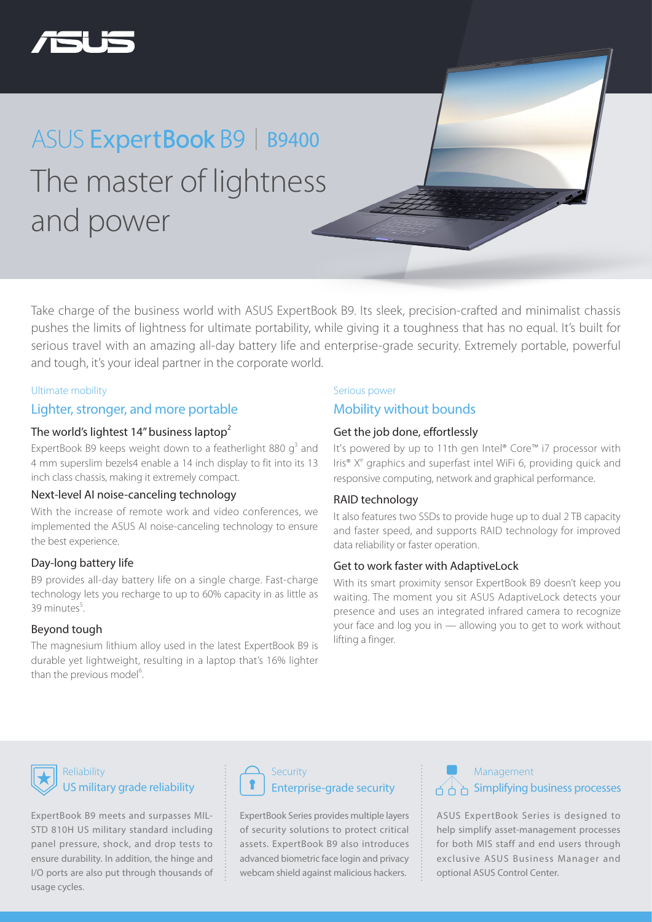

### The master of lightness and power ASUS ExpertBook B9 | B9400

Take charge of the business world with ASUS ExpertBook B9. Its sleek, precision-crafted and minimalist chassis pushes the limits of lightness for ultimate portability, while giving it a toughness that has no equal. It's built for serious travel with an amazing all-day battery life and enterprise-grade security. Extremely portable, powerful and tough, it's your ideal partner in the corporate world.

#### Ultimate mobility

#### Lighter, stronger, and more portable

#### The world's lightest 14" business laptop $2$

ExpertBook B9 keeps weight down to a featherlight 880  $g^3$  and 4 mm superslim bezels4 enable a 14 inch display to fit into its 13 inch class chassis, making it extremely compact.

#### Next-level AI noise-canceling technology

With the increase of remote work and video conferences, we implemented the ASUS AI noise-canceling technology to ensure the best experience.

#### Day-long battery life

B9 provides all-day battery life on a single charge. Fast-charge technology lets you recharge to up to 60% capacity in as little as  $39$  minutes $5$ .

#### Beyond tough

The magnesium lithium alloy used in the latest ExpertBook B9 is durable yet lightweight, resulting in a laptop that's 16% lighter than the previous model<sup>6</sup>. .

#### Serious power

#### Mobility without bounds

#### Get the job done, effortlessly

It's powered by up to 11th gen Intel® Core™ i7 processor with Iris<sup>®</sup> X<sup>e</sup> graphics and superfast intel WiFi 6, providing quick and responsive computing, network and graphical performance.

#### RAID technology

It also features two SSDs to provide huge up to dual 2 TB capacity and faster speed, and supports RAID technology for improved data reliability or faster operation.

#### Get to work faster with AdaptiveLock

With its smart proximity sensor ExpertBook B9 doesn't keep you waiting. The moment you sit ASUS AdaptiveLock detects your presence and uses an integrated infrared camera to recognize your face and log you in — allowing you to get to work without lifting a finger.

#### Reliability US military grade reliability

ExpertBook B9 meets and surpasses MIL-STD 810H US military standard including panel pressure, shock, and drop tests to ensure durability. In addition, the hinge and I/O ports are also put through thousands of usage cycles.



ExpertBook Series provides multiple layers of security solutions to protect critical assets. ExpertBook B9 also introduces advanced biometric face login and privacy webcam shield against malicious hackers.

### Management  $A \cap B$  Simplifying business processes

ASUS ExpertBook Series is designed to help simplify asset-management processes for both MIS staff and end users through exclusive ASUS Business Manager and optional ASUS Control Center.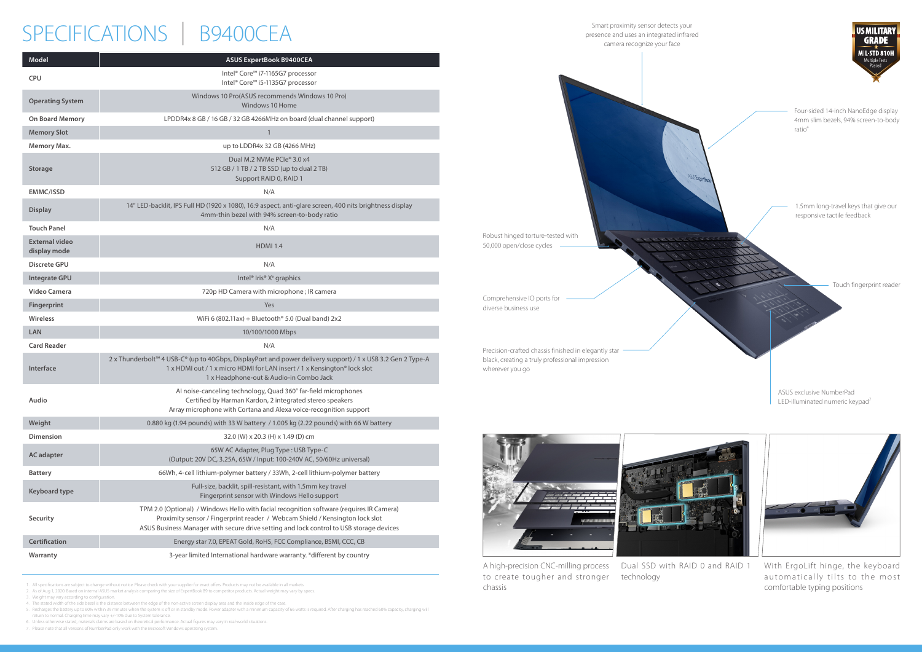Smart proximity sensor detects your presence and uses an integrated infrared camera recognize your face

Robust hinged torture-tested with 50,000 open/close cycles



LED-illuminated numeric keypad<sup>7</sup>





Comprehensive IO ports for diverse business use

Precision-crafted chassis finished in elegantly star black, creating a truly professional impression wherever you go



1. All specifications are subject to change without notice. Please check with your supplier for exact offers. Products may not be available in all markets.

2. As of Aug 1, 2020. Based on internal ASUS market analysis comparing the size of ExpertBook B9 to competitor products. Actual weight may vary by specs.

3. Weight may vary according to configuration.

4. The stated width of the side bezel is the distance between the edge of the non-active screen display area and the inside edge of the case.

# SPECIFICATIONS | B9400CEA

5. Recharges the battery up to 60% within 39 minutes when the system is off or in standby mode. Power adapter with a minimum capacity of 66 watts is required. After charging has reached 60% capacity, charging will return to normal. Charging time may vary +/-10% due to System tolerance.

6. Unless otherwise stated, materials claims are based on theoretical performance. Actual figures may vary in real-world situations.

7. Please note that all versions of NumberPad only work with the Microsoft Windows operating system.

| <b>Model</b>                          | <b>ASUS ExpertBook B9400CEA</b>                                                                                                                                                                                                                                     |
|---------------------------------------|---------------------------------------------------------------------------------------------------------------------------------------------------------------------------------------------------------------------------------------------------------------------|
| <b>CPU</b>                            | Intel® Core™ i7-1165G7 processor<br>Intel® Core™ i5-1135G7 processor                                                                                                                                                                                                |
| <b>Operating System</b>               | Windows 10 Pro(ASUS recommends Windows 10 Pro)<br>Windows 10 Home                                                                                                                                                                                                   |
| <b>On Board Memory</b>                | LPDDR4x 8 GB / 16 GB / 32 GB 4266MHz on board (dual channel support)                                                                                                                                                                                                |
| <b>Memory Slot</b>                    | 1                                                                                                                                                                                                                                                                   |
| <b>Memory Max.</b>                    | up to LDDR4x 32 GB (4266 MHz)                                                                                                                                                                                                                                       |
| <b>Storage</b>                        | Dual M.2 NVMe PCle <sup>®</sup> 3.0 x4<br>512 GB / 1 TB / 2 TB SSD (up to dual 2 TB)<br>Support RAID 0, RAID 1                                                                                                                                                      |
| <b>EMMC/ISSD</b>                      | N/A                                                                                                                                                                                                                                                                 |
| <b>Display</b>                        | 14" LED-backlit, IPS Full HD (1920 x 1080), 16:9 aspect, anti-glare screen, 400 nits brightness display<br>4mm-thin bezel with 94% screen-to-body ratio                                                                                                             |
| <b>Touch Panel</b>                    | N/A                                                                                                                                                                                                                                                                 |
| <b>External video</b><br>display mode | <b>HDMI 1.4</b>                                                                                                                                                                                                                                                     |
| <b>Discrete GPU</b>                   | N/A                                                                                                                                                                                                                                                                 |
| <b>Integrate GPU</b>                  | Intel <sup>®</sup> Iris <sup>®</sup> X <sup>e</sup> graphics                                                                                                                                                                                                        |
| Video Camera                          | 720p HD Camera with microphone ; IR camera                                                                                                                                                                                                                          |
| Fingerprint                           | Yes                                                                                                                                                                                                                                                                 |
| <b>Wireless</b>                       | WiFi 6 (802.11ax) + Bluetooth $\degree$ 5.0 (Dual band) 2x2                                                                                                                                                                                                         |
| <b>LAN</b>                            | 10/100/1000 Mbps                                                                                                                                                                                                                                                    |
| <b>Card Reader</b>                    | N/A                                                                                                                                                                                                                                                                 |
| <b>Interface</b>                      | 2 x Thunderbolt™ 4 USB-C® (up to 40Gbps, DisplayPort and power delivery support) / 1 x USB 3.2 Gen 2 Type-A<br>1 x HDMI out / 1 x micro HDMI for LAN insert / 1 x Kensington® lock slot<br>1 x Headphone-out & Audio-in Combo Jack                                  |
| Audio                                 | Al noise-canceling technology, Quad 360° far-field microphones<br>Certified by Harman Kardon, 2 integrated stereo speakers<br>Array microphone with Cortana and Alexa voice-recognition support                                                                     |
| Weight                                | 0.880 kg (1.94 pounds) with 33 W battery / 1.005 kg (2.22 pounds) with 66 W battery                                                                                                                                                                                 |
| <b>Dimension</b>                      | 32.0 (W) x 20.3 (H) x 1.49 (D) cm                                                                                                                                                                                                                                   |
| <b>AC</b> adapter                     | 65W AC Adapter, Plug Type: USB Type-C<br>(Output: 20V DC, 3.25A, 65W / Input: 100-240V AC, 50/60Hz universal)                                                                                                                                                       |
| <b>Battery</b>                        | 66Wh, 4-cell lithium-polymer battery / 33Wh, 2-cell lithium-polymer battery                                                                                                                                                                                         |
| <b>Keyboard type</b>                  | Full-size, backlit, spill-resistant, with 1.5mm key travel<br>Fingerprint sensor with Windows Hello support                                                                                                                                                         |
| Security                              | TPM 2.0 (Optional) / Windows Hello with facial recognition software (requires IR Camera)<br>Proximity sensor / Fingerprint reader / Webcam Shield / Kensington lock slot<br>ASUS Business Manager with secure drive setting and lock control to USB storage devices |
| <b>Certification</b>                  | Energy star 7.0, EPEAT Gold, RoHS, FCC Compliance, BSMI, CCC, CB                                                                                                                                                                                                    |
| Warranty                              | 3-year limited International hardware warranty. * different by country                                                                                                                                                                                              |

A high-precision CNC-milling process Dual SSD with RAID 0 and RAID 1 to create tougher and stronger technologychassis



With ErgoLift hinge, the keyboard automatically tilts to the most comfortable typing positions